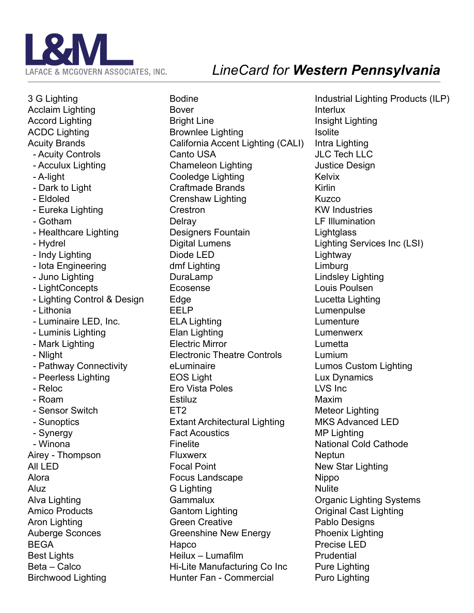

## *LineCard for Western Pennsylvania*

3 G Lighting Acclaim Lighting Accord Lighting ACDC Lighting Acuity Brands - Acuity Controls - Acculux Lighting - A-light - Dark to Light - Eldoled - Eureka Lighting - Gotham - Healthcare Lighting - Hydrel - Indy Lighting - Iota Engineering - Juno Lighting - LightConcepts - Lighting Control & Design - Lithonia - Luminaire LED, Inc. - Luminis Lighting - Mark Lighting - Nlight - Pathway Connectivity - Peerless Lighting - Reloc - Roam - Sensor Switch - Sunoptics - Synergy - Winona Airey - Thompson All LED Alora Aluz Alva Lighting Amico Products Aron Lighting Auberge Sconces BEGA Best Lights Beta – Calco Birchwood Lighting

**Bodine** Bover Bright Line Brownlee Lighting California Accent Lighting (CALI) Canto USA Chameleon Lighting Cooledge Lighting Craftmade Brands Crenshaw Lighting Crestron **Delray** Designers Fountain Digital Lumens Diode LED dmf Lighting DuraLamp Ecosense **Edge** EELP ELA Lighting Elan Lighting Electric Mirror Electronic Theatre Controls el uminaire EOS Light Ero Vista Poles **Estiluz** ET<sub>2</sub> Extant Architectural Lighting Fact Acoustics Finelite Fluxwerx Focal Point Focus Landscape G Lighting Gammalux Gantom Lighting Green Creative Greenshine New Energy Hapco Heilux – Lumafilm Hi-Lite Manufacturing Co Inc Hunter Fan - Commercial

Industrial Lighting Products (ILP) Interlux Insight Lighting **Isolite** Intra Lighting JLC Tech LLC Justice Design Kelvix Kirlin Kuzco KW Industries LF Illumination **Lightglass** Lighting Services Inc (LSI) Lightway Limburg Lindsley Lighting Louis Poulsen Lucetta Lighting Lumenpulse Lumenture Lumenwerx Lumetta Lumium Lumos Custom Lighting Lux Dynamics LVS Inc Maxim Meteor Lighting MKS Advanced LED MP Lighting National Cold Cathode Neptun New Star Lighting **Nippo Nulite** Organic Lighting Systems Original Cast Lighting Pablo Designs Phoenix Lighting Precise LED **Prudential** Pure Lighting Puro Lighting